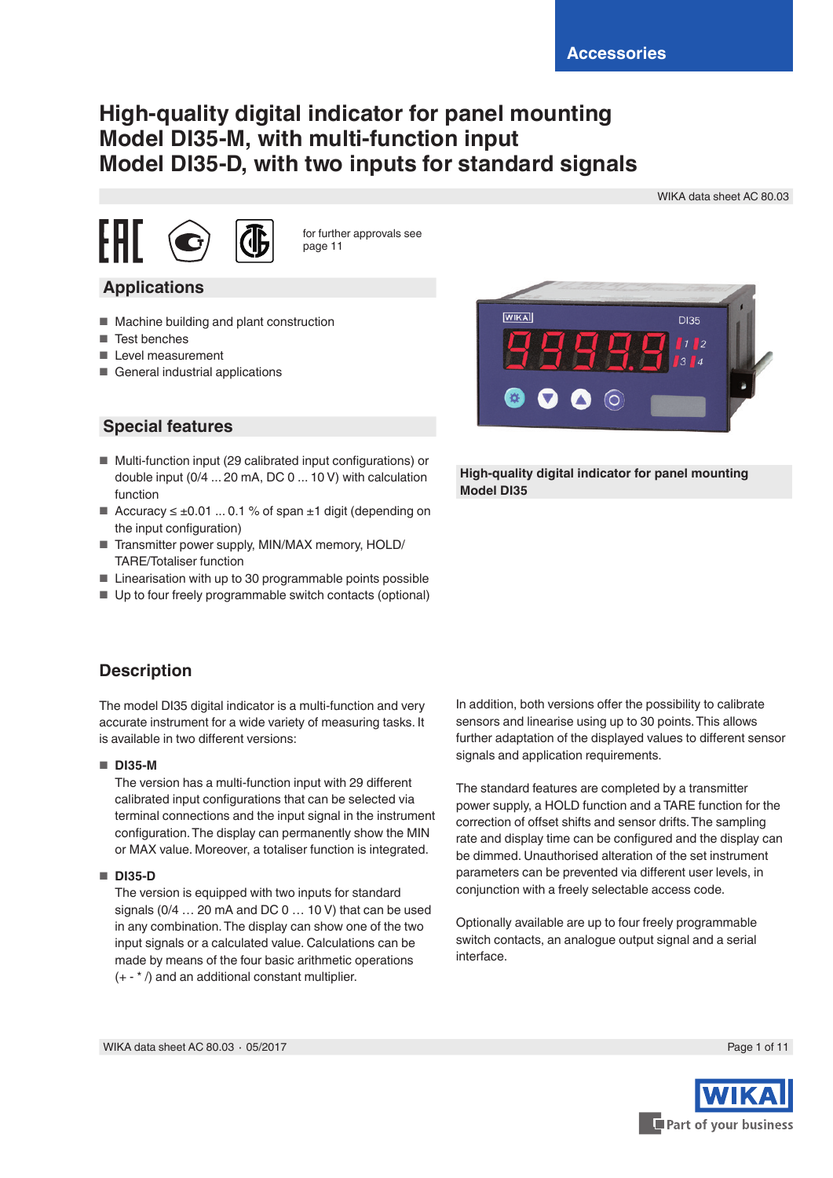# **High-quality digital indicator for panel mounting Model DI35-M, with multi-function input Model DI35-D, with two inputs for standard signals**

WIKA data sheet AC 80.03



for further approvals see page 11

- **Applications**
- Machine building and plant construction
- Test benches
- Level measurement
- General industrial applications



- Multi-function input (29 calibrated input configurations) or double input (0/4 ... 20 mA, DC 0 ... 10 V) with calculation function
- Accuracy  $\leq \pm 0.01$  ... 0.1 % of span  $\pm 1$  digit (depending on the input configuration)
- Transmitter power supply, MIN/MAX memory, HOLD/ TARE/Totaliser function
- Linearisation with up to 30 programmable points possible
- Up to four freely programmable switch contacts (optional)



**High-quality digital indicator for panel mounting Model DI35**

### **Description**

The model DI35 digital indicator is a multi-function and very accurate instrument for a wide variety of measuring tasks. It is available in two different versions:

#### ■ **DI35-M**

The version has a multi-function input with 29 different calibrated input configurations that can be selected via terminal connections and the input signal in the instrument configuration. The display can permanently show the MIN or MAX value. Moreover, a totaliser function is integrated.

#### ■ **DI35-D**

The version is equipped with two inputs for standard signals (0/4 … 20 mA and DC 0 … 10 V) that can be used in any combination. The display can show one of the two input signals or a calculated value. Calculations can be made by means of the four basic arithmetic operations (+ - \* /) and an additional constant multiplier.

In addition, both versions offer the possibility to calibrate sensors and linearise using up to 30 points. This allows further adaptation of the displayed values to different sensor signals and application requirements.

The standard features are completed by a transmitter power supply, a HOLD function and a TARE function for the correction of offset shifts and sensor drifts. The sampling rate and display time can be configured and the display can be dimmed. Unauthorised alteration of the set instrument parameters can be prevented via different user levels, in conjunction with a freely selectable access code.

Optionally available are up to four freely programmable switch contacts, an analogue output signal and a serial interface.

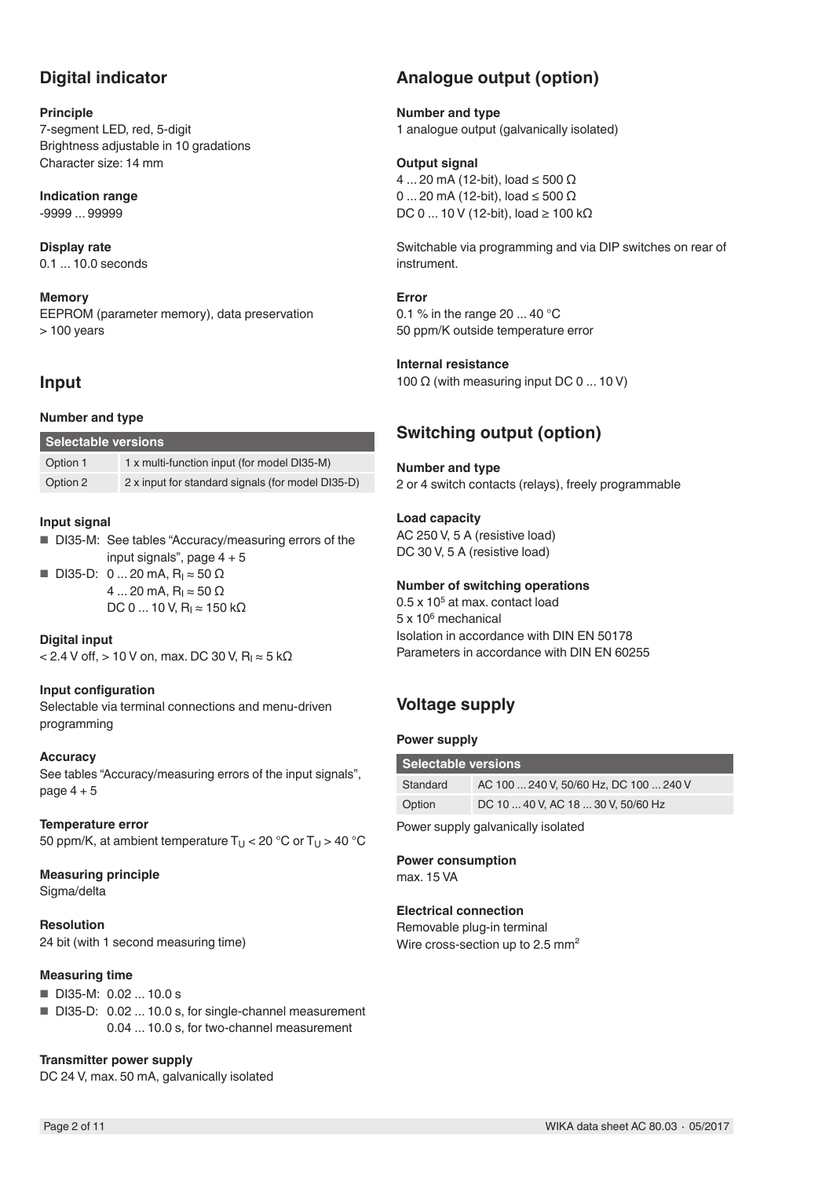### **Digital indicator**

### **Principle**

7-segment LED, red, 5-digit Brightness adjustable in 10 gradations Character size: 14 mm

**Indication range** -9999 ... 99999

**Display rate** 0.1 ... 10.0 seconds

**Memory** EEPROM (parameter memory), data preservation > 100 years

### **Input**

### **Number and type**

| Selectable versions |                                                   |
|---------------------|---------------------------------------------------|
| Option 1            | 1 x multi-function input (for model DI35-M)       |
| Option 2            | 2 x input for standard signals (for model DI35-D) |

### **Input signal**

■ DI35-M: See tables "Accuracy/measuring errors of the input signals", page  $4 + 5$ 

■ DI35-D: 0 ... 20 mA,  $R_1 \approx 50$  Ω  $4... 20$  mA, R<sub>I</sub> ≈ 50 Ω DC 0 ... 10 V,  $R_1 \approx 150$  kΩ

**Digital input**  $<$  2.4 V off,  $>$  10 V on, max. DC 30 V, R<sub>I</sub> $\approx$  5 kΩ

#### **Input configuration**

Selectable via terminal connections and menu-driven programming

#### **Accuracy**

See tables "Accuracy/measuring errors of the input signals", page  $4 + 5$ 

#### **Temperature error**

50 ppm/K, at ambient temperature  $T_U$  < 20 °C or  $T_U$  > 40 °C

**Measuring principle**

Sigma/delta

**Resolution** 24 bit (with 1 second measuring time)

#### **Measuring time**

- DI35-M: 0.02 ... 10.0 s
- DI35-D: 0.02 ... 10.0 s, for single-channel measurement 0.04 ... 10.0 s, for two-channel measurement

**Transmitter power supply**

DC 24 V, max. 50 mA, galvanically isolated

# **Analogue output (option)**

**Number and type**

1 analogue output (galvanically isolated)

### **Output signal**

4 ... 20 mA (12-bit), load ≤ 500 Ω 0 ... 20 mA (12-bit), load ≤ 500 Ω DC 0 ... 10 V (12-bit), load ≥ 100 kΩ

Switchable via programming and via DIP switches on rear of instrument.

**Error**

0.1 % in the range 20 ... 40 °C 50 ppm/K outside temperature error

### **Internal resistance**

100  $\Omega$  (with measuring input DC 0 ... 10 V)

### **Switching output (option)**

**Number and type** 2 or 4 switch contacts (relays), freely programmable

### **Load capacity**

AC 250 V, 5 A (resistive load) DC 30 V, 5 A (resistive load)

### **Number of switching operations**

 $0.5 \times 10^5$  at max. contact load 5 x 106 mechanical Isolation in accordance with DIN EN 50178 Parameters in accordance with DIN EN 60255

## **Voltage supply**

#### **Power supply**

| Selectable versions |                                        |
|---------------------|----------------------------------------|
| Standard            | AC 100  240 V, 50/60 Hz, DC 100  240 V |
| Option              | DC 10  40 V, AC 18  30 V, 50/60 Hz     |
|                     |                                        |

Power supply galvanically isolated

#### **Power consumption** max. 15 VA

**Electrical connection** Removable plug-in terminal

Wire cross-section up to 2.5 mm<sup>2</sup>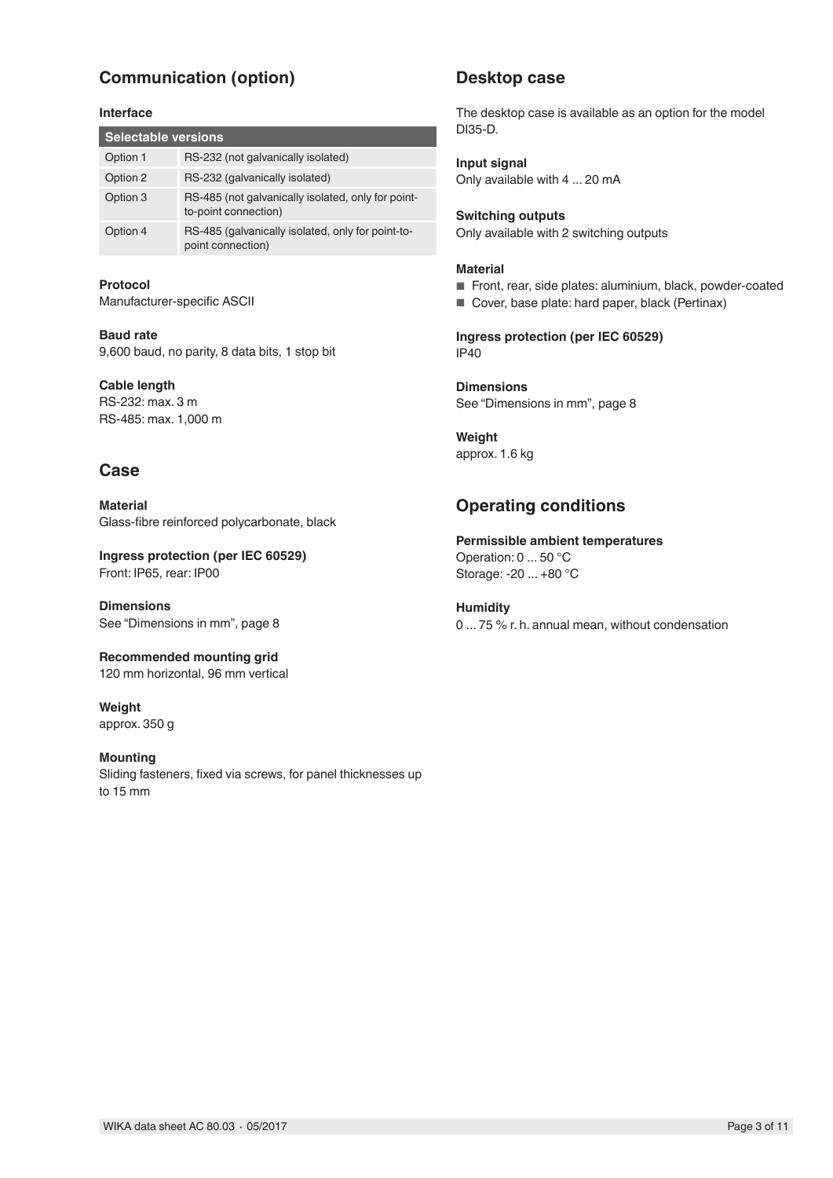# **Communication (option)**

#### **Interface**

| <b>Selectable versions</b> |                                                                            |
|----------------------------|----------------------------------------------------------------------------|
| Option 1                   | RS-232 (not galvanically isolated)                                         |
| Option 2                   | RS-232 (galvanically isolated)                                             |
| Option 3                   | RS-485 (not galvanically isolated, only for point-<br>to-point connection) |
| Option 4                   | RS-485 (galvanically isolated, only for point-to-<br>point connection)     |

**Protocol** Manufacturer-specific ASCII

**Baud rate** 9,600 baud, no parity, 8 data bits, 1 stop bit

**Cable length** RS-232: max. 3 m RS-485: max. 1,000 m

### **Case**

**Material** Glass-fibre reinforced polycarbonate, black

**Ingress protection (per IEC 60529)** Front: IP65, rear: IP00

**Dimensions** See "Dimensions in mm", page 8

**Recommended mounting grid** 120 mm horizontal, 96 mm vertical

**Weight** approx. 350 g

#### **Mounting**

Sliding fasteners, fixed via screws, for panel thicknesses up to 15 mm

### **Desktop case**

The desktop case is available as an option for the model DI35-D.

**Input signal** Only available with 4 ... 20 mA

**Switching outputs** Only available with 2 switching outputs

#### **Material**

■ Front, rear, side plates: aluminium, black, powder-coated

■ Cover, base plate: hard paper, black (Pertinax)

**Ingress protection (per IEC 60529)** IP40

**Dimensions** See "Dimensions in mm", page 8

**Weight** approx. 1.6 kg

### **Operating conditions**

**Permissible ambient temperatures** Operation: 0 ... 50 °C Storage: -20 ... +80 °C

**Humidity** 0 ... 75 % r. h. annual mean, without condensation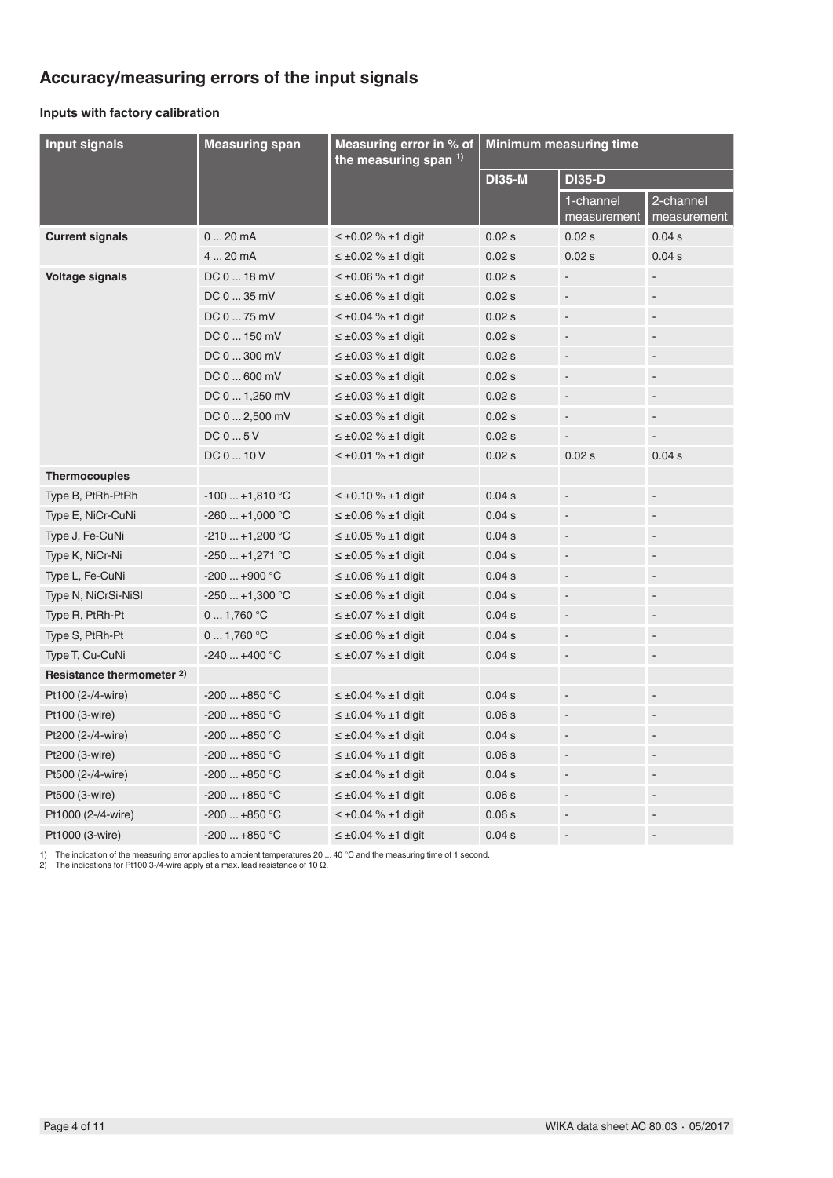# **Accuracy/measuring errors of the input signals**

### **Inputs with factory calibration**

| <b>Input signals</b>      | <b>Measuring span</b> | Measuring error in % of<br>the measuring span $1$ ) |               | <b>Minimum measuring time</b> |                              |
|---------------------------|-----------------------|-----------------------------------------------------|---------------|-------------------------------|------------------------------|
|                           |                       |                                                     | <b>DI35-M</b> | <b>DI35-D</b>                 |                              |
|                           |                       |                                                     |               | 1-channel<br>measurement      | 2-channel<br>measurement     |
| <b>Current signals</b>    | $020$ mA              | $\leq \pm 0.02$ % $\pm 1$ digit                     | 0.02 s        | 0.02 s                        | 0.04 s                       |
|                           | 420 mA                | $\leq \pm 0.02$ % $\pm 1$ digit                     | 0.02 s        | 0.02 s                        | 0.04 s                       |
| <b>Voltage signals</b>    | DC 0  18 mV           | $\leq \pm 0.06$ % $\pm 1$ digit                     | 0.02 s        |                               |                              |
|                           | DC 0  35 mV           | $\leq \pm 0.06$ % $\pm 1$ digit                     | 0.02 s        | $\overline{\phantom{a}}$      | $\qquad \qquad \blacksquare$ |
|                           | DC 0  75 mV           | $\leq \pm 0.04$ % $\pm 1$ digit                     | 0.02 s        | $\Box$                        | $\overline{a}$               |
|                           | DC 0  150 mV          | $\leq \pm 0.03$ % $\pm 1$ digit                     | 0.02 s        | $\blacksquare$                | $\blacksquare$               |
|                           | DC 0  300 mV          | $\leq \pm 0.03$ % $\pm 1$ digit                     | 0.02 s        | $\blacksquare$                | $\overline{\phantom{a}}$     |
|                           | DC 0  600 mV          | $\leq \pm 0.03$ % $\pm 1$ digit                     | 0.02 s        | $\blacksquare$                | $\overline{\phantom{a}}$     |
|                           | DC 0  1,250 mV        | $\leq \pm 0.03$ % $\pm 1$ digit                     | 0.02 s        | $\blacksquare$                | $\overline{\phantom{a}}$     |
|                           | DC 0  2,500 mV        | $\leq \pm 0.03$ % $\pm 1$ digit                     | 0.02 s        | $\overline{\phantom{a}}$      | $\blacksquare$               |
|                           | DC 0  5 V             | $\leq \pm 0.02$ % $\pm 1$ digit                     | 0.02 s        | $\overline{\phantom{a}}$      | $\overline{\phantom{a}}$     |
|                           | DC 0  10 V            | $\leq \pm 0.01$ % $\pm 1$ digit                     | 0.02 s        | 0.02 s                        | 0.04 s                       |
| <b>Thermocouples</b>      |                       |                                                     |               |                               |                              |
| Type B, PtRh-PtRh         | $-100+1,810$ °C       | $\leq \pm 0.10$ % $\pm 1$ digit                     | 0.04 s        | $\qquad \qquad \blacksquare$  | $\overline{\phantom{a}}$     |
| Type E, NiCr-CuNi         | $-260+1,000$ °C       | $\leq \pm 0.06$ % $\pm 1$ digit                     | 0.04 s        | $\blacksquare$                | $\overline{\phantom{a}}$     |
| Type J, Fe-CuNi           | $-210+1,200$ °C       | $\leq \pm 0.05$ % $\pm 1$ digit                     | 0.04 s        | $\blacksquare$                | $\overline{a}$               |
| Type K, NiCr-Ni           | $-250+1,271$ °C       | $\leq \pm 0.05$ % $\pm 1$ digit                     | 0.04 s        | $\blacksquare$                | $\overline{a}$               |
| Type L, Fe-CuNi           | $-200+900$ °C         | $\leq \pm 0.06$ % $\pm 1$ digit                     | 0.04 s        | $\blacksquare$                | $\overline{\phantom{a}}$     |
| Type N, NiCrSi-NiSI       | $-250+1,300$ °C       | $\leq \pm 0.06$ % $\pm 1$ digit                     | 0.04 s        | $\overline{\phantom{a}}$      | $\overline{\phantom{a}}$     |
| Type R, PtRh-Pt           | 01,760 °C             | $\leq \pm 0.07$ % $\pm 1$ digit                     | 0.04 s        | $\blacksquare$                | $\blacksquare$               |
| Type S, PtRh-Pt           | 0  1,760 °C           | $\leq \pm 0.06$ % $\pm 1$ digit                     | 0.04 s        | $\overline{\phantom{a}}$      | $\overline{a}$               |
| Type T, Cu-CuNi           | $-240+400$ °C         | $\leq \pm 0.07$ % $\pm 1$ digit                     | 0.04 s        | $\blacksquare$                | $\overline{\phantom{a}}$     |
| Resistance thermometer 2) |                       |                                                     |               |                               |                              |
| Pt100 (2-/4-wire)         | $-200+850$ °C         | $\leq \pm 0.04$ % $\pm 1$ digit                     | 0.04 s        | $\blacksquare$                | $\overline{\phantom{a}}$     |
| Pt100 (3-wire)            | -200  +850 °C         | $\leq \pm 0.04$ % $\pm 1$ digit                     | 0.06s         | $\overline{\phantom{a}}$      |                              |
| Pt200 (2-/4-wire)         | -200  +850 °C         | $\leq \pm 0.04$ % $\pm 1$ digit                     | 0.04 s        | $\blacksquare$                | $\overline{a}$               |
| Pt200 (3-wire)            | $-200+850$ °C         | $\leq \pm 0.04$ % $\pm 1$ digit                     | 0.06 s        | $\blacksquare$                | $\overline{a}$               |
| Pt500 (2-/4-wire)         | $-200+850$ °C         | $\leq \pm 0.04$ % $\pm 1$ digit                     | 0.04 s        | $\overline{\phantom{a}}$      | $\overline{\phantom{a}}$     |
| Pt500 (3-wire)            | $-200+850$ °C         | $\leq \pm 0.04$ % $\pm 1$ digit                     | 0.06 s        | $\overline{\phantom{m}}$      | $\overline{\phantom{a}}$     |
| Pt1000 (2-/4-wire)        | $-200+850$ °C         | $\leq \pm 0.04$ % $\pm 1$ digit                     | 0.06s         |                               | $\overline{\phantom{a}}$     |
| Pt1000 (3-wire)           | $-200+850$ °C         | $\leq \pm 0.04$ % $\pm 1$ digit                     | 0.04 s        |                               |                              |

1) The indication of the measuring error applies to ambient temperatures 20 ... 40 °C and the measuring time of 1 second.<br>2) The indications for Pt100 3-/4-wire apply at a max. lead resistance of 10 Ω.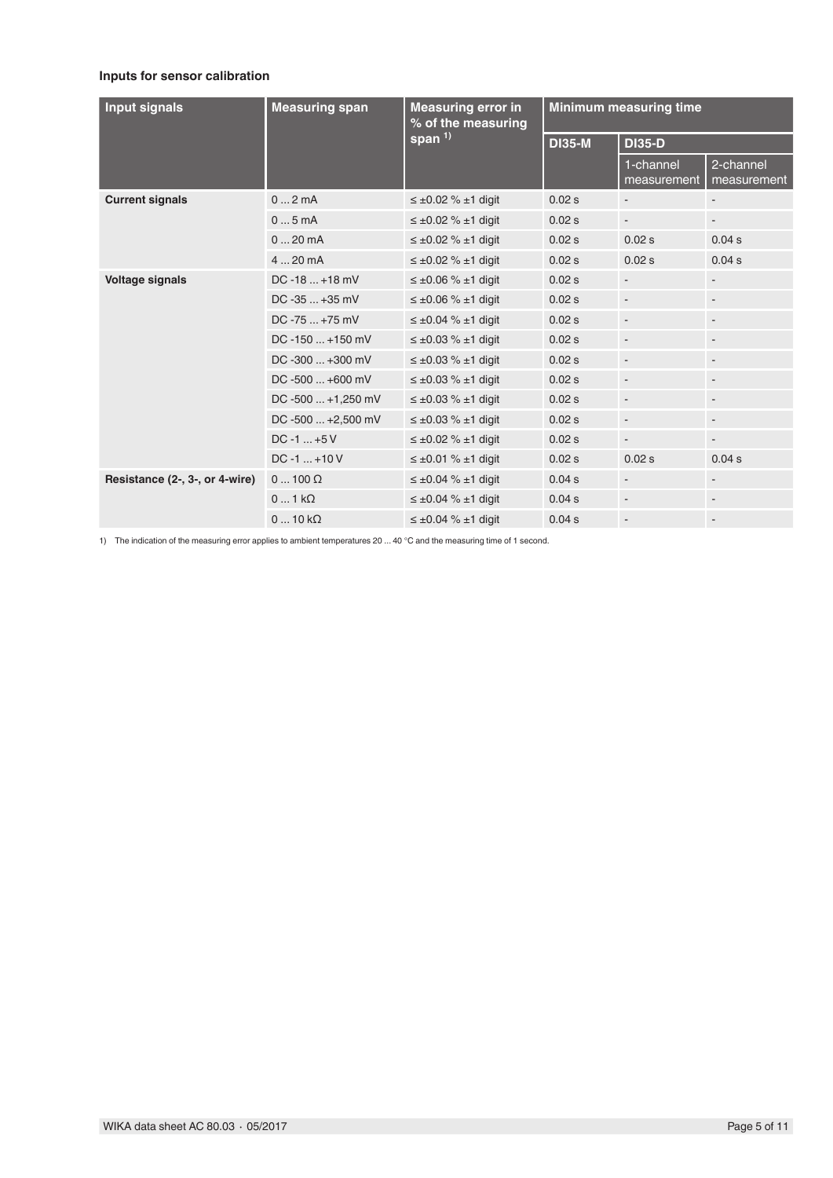### **Inputs for sensor calibration**

| <b>Input signals</b>           | <b>Measuring span</b>  | <b>Measuring error in</b><br>% of the measuring |               | <b>Minimum measuring time</b> |                              |
|--------------------------------|------------------------|-------------------------------------------------|---------------|-------------------------------|------------------------------|
|                                |                        | span <sup>1)</sup>                              | <b>DI35-M</b> | <b>DI35-D</b>                 |                              |
|                                |                        |                                                 |               | 1-channel<br>measurement      | 2-channel<br>measurement     |
| <b>Current signals</b>         | 02mA                   | $\leq \pm 0.02$ % $\pm 1$ digit                 | 0.02 s        |                               | $\overline{\phantom{a}}$     |
|                                | 05mA                   | $\leq \pm 0.02$ % $\pm 1$ digit                 | 0.02 s        |                               |                              |
|                                | $020$ mA               | $\leq \pm 0.02$ % $\pm 1$ digit                 | 0.02 s        | 0.02 s                        | 0.04 s                       |
|                                | 4  20 mA               | $\leq \pm 0.02$ % $\pm 1$ digit                 | 0.02 s        | 0.02 s                        | 0.04 s                       |
| <b>Voltage signals</b>         | $DC - 18  + 18$ mV     | $\leq \pm 0.06$ % $\pm 1$ digit                 | 0.02 s        | $\blacksquare$                | $\overline{\phantom{a}}$     |
|                                | $DC - 35  + 35 mV$     | $\leq \pm 0.06$ % $\pm 1$ digit                 | 0.02 s        | $\overline{\phantom{a}}$      | $\blacksquare$               |
|                                | $DC - 75  + 75 mV$     | $\leq \pm 0.04$ % $\pm 1$ digit                 | 0.02 s        |                               | $\overline{\phantom{a}}$     |
|                                | $DC - 150  + 150$ mV   | $\leq \pm 0.03$ % $\pm 1$ digit                 | 0.02 s        | $\overline{\phantom{a}}$      | $\overline{\phantom{a}}$     |
|                                | $DC - 300  + 300$ mV   | $\leq \pm 0.03$ % $\pm 1$ digit                 | 0.02 s        |                               | $\overline{\phantom{a}}$     |
|                                | DC-500  +600 mV        | $\leq \pm 0.03$ % $\pm 1$ digit                 | 0.02 s        | $\overline{\phantom{a}}$      | $\overline{\phantom{a}}$     |
|                                | $DC - 500  + 1,250$ mV | $\leq \pm 0.03$ % $\pm 1$ digit                 | 0.02 s        |                               |                              |
|                                | DC-500  +2,500 mV      | $\leq \pm 0.03$ % $\pm 1$ digit                 | 0.02 s        | $\overline{\phantom{a}}$      | $\overline{\phantom{a}}$     |
|                                | $DC - 1  + 5V$         | $\leq \pm 0.02$ % $\pm 1$ digit                 | 0.02 s        | $\overline{\phantom{a}}$      |                              |
|                                | $DC - 1  + 10V$        | $\leq \pm 0.01$ % $\pm 1$ digit                 | 0.02 s        | 0.02 s                        | 0.04 s                       |
| Resistance (2-, 3-, or 4-wire) | $0100 \Omega$          | $\leq \pm 0.04$ % $\pm 1$ digit                 | 0.04 s        |                               |                              |
|                                | $01$ k $\Omega$        | $\leq \pm 0.04$ % $\pm 1$ digit                 | 0.04 s        |                               | $\qquad \qquad \blacksquare$ |
|                                | $010k\Omega$           | $\leq \pm 0.04$ % $\pm 1$ digit                 | 0.04 s        |                               |                              |

1) The indication of the measuring error applies to ambient temperatures 20 ... 40 °C and the measuring time of 1 second.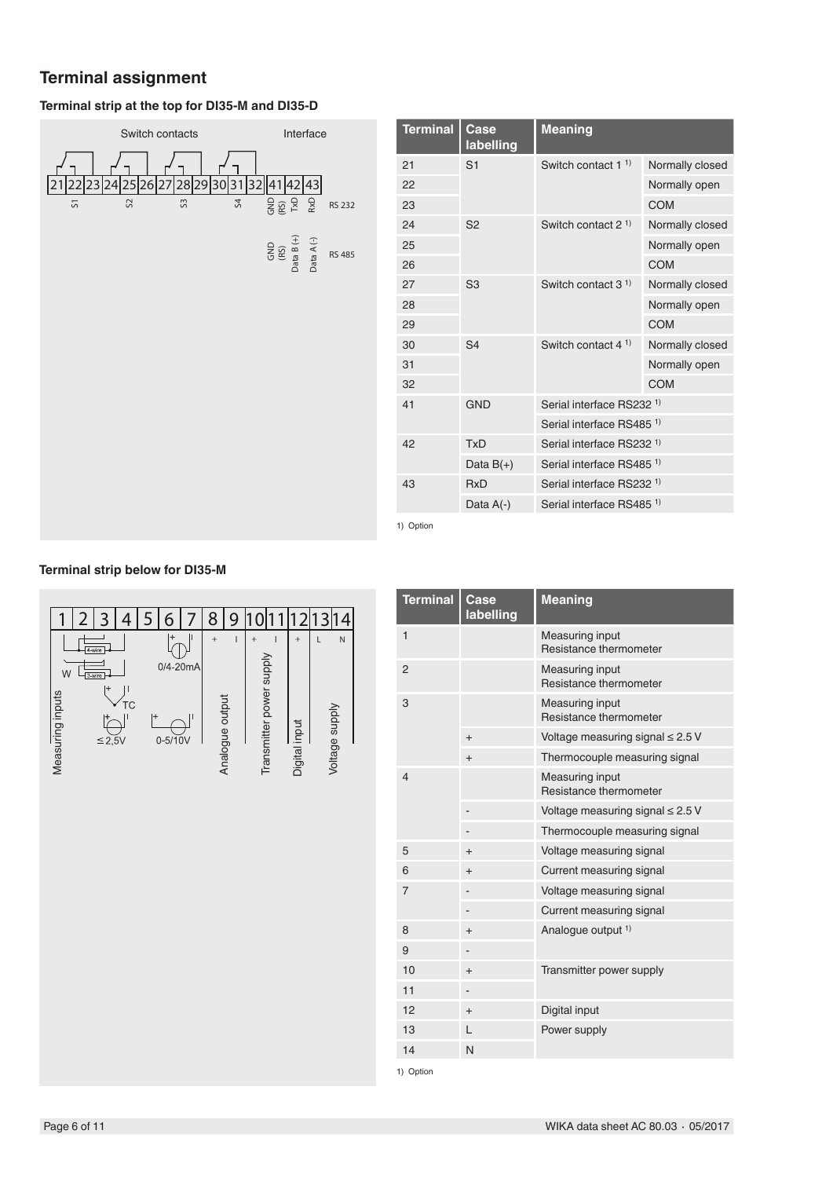### **Terminal assignment**

### **Terminal strip at the top for DI35-M and DI35-D**



| <b>Terminal</b> | Case<br>labelling | <b>Meaning</b>                       |                 |
|-----------------|-------------------|--------------------------------------|-----------------|
| 21              | S <sub>1</sub>    | Switch contact 1 <sup>1</sup>        | Normally closed |
| 22              |                   |                                      | Normally open   |
| 23              |                   |                                      | <b>COM</b>      |
| 24              | S <sub>2</sub>    | Switch contact $21$                  | Normally closed |
| 25              |                   |                                      | Normally open   |
| 26              |                   |                                      | <b>COM</b>      |
| 27              | S <sub>3</sub>    | Switch contact $31$                  | Normally closed |
| 28              |                   |                                      | Normally open   |
| 29              |                   |                                      | <b>COM</b>      |
| 30              | S <sub>4</sub>    | Switch contact $41$                  | Normally closed |
| 31              |                   |                                      | Normally open   |
| 32              |                   |                                      | <b>COM</b>      |
| 41              | <b>GND</b>        | Serial interface RS232 <sup>1)</sup> |                 |
|                 |                   | Serial interface RS485 <sup>1)</sup> |                 |
| 42              | <b>TxD</b>        | Serial interface RS232 <sup>1)</sup> |                 |
|                 | Data $B(+)$       | Serial interface RS485 <sup>1)</sup> |                 |
| 43              | <b>RxD</b>        | Serial interface RS232 <sup>1)</sup> |                 |
|                 | Data $A(-)$       | Serial interface RS485 <sup>1)</sup> |                 |
| 1) $Antion$     |                   |                                      |                 |

1) Option





| <b>Terminal</b> | Case<br>labelling | <b>Meaning</b>                                   |
|-----------------|-------------------|--------------------------------------------------|
| $\mathbf{1}$    |                   | <b>Measuring input</b><br>Resistance thermometer |
| $\overline{2}$  |                   | <b>Measuring input</b><br>Resistance thermometer |
| 3               |                   | Measuring input<br>Resistance thermometer        |
|                 | $^{+}$            | Voltage measuring signal $\leq 2.5$ V            |
|                 | $^{+}$            | Thermocouple measuring signal                    |
| 4               |                   | <b>Measuring input</b><br>Resistance thermometer |
|                 |                   | Voltage measuring signal $\leq 2.5$ V            |
|                 |                   | Thermocouple measuring signal                    |
| 5               | $^{+}$            | Voltage measuring signal                         |
| 6               | $^{+}$            | Current measuring signal                         |
| 7               |                   | Voltage measuring signal                         |
|                 |                   | Current measuring signal                         |
| 8               | $^{+}$            | Analogue output <sup>1)</sup>                    |
| 9               |                   |                                                  |
| 10              | $^{+}$            | Transmitter power supply                         |
| 11              |                   |                                                  |
| 12              | $^{+}$            | Digital input                                    |
| 13              | L                 | Power supply                                     |
| 14              | N                 |                                                  |

1) Option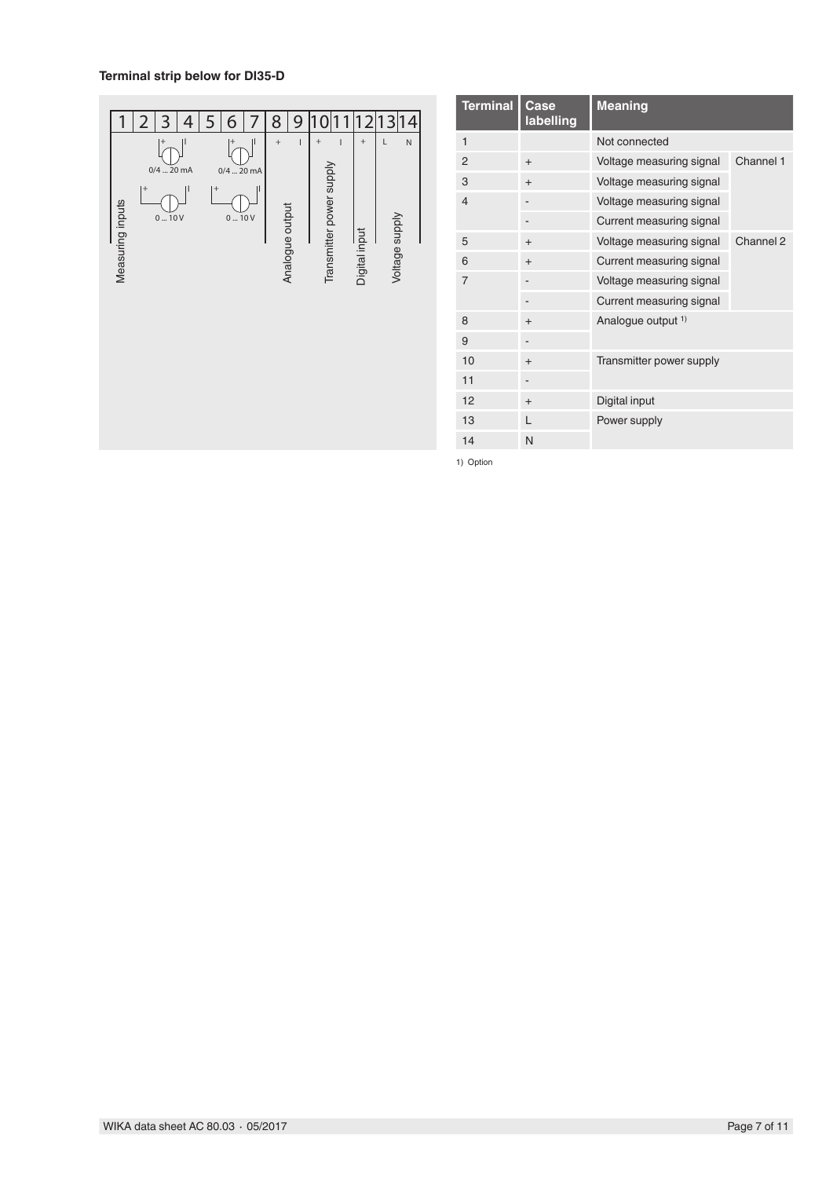### **Terminal strip below for DI35-D**



| <b>Terminal</b> | Case<br>labelling | <b>Meaning</b>                |           |
|-----------------|-------------------|-------------------------------|-----------|
| 1               |                   | Not connected                 |           |
| 2               | $^{+}$            | Voltage measuring signal      | Channel 1 |
| 3               | $^{+}$            | Voltage measuring signal      |           |
| $\overline{4}$  |                   | Voltage measuring signal      |           |
|                 |                   | Current measuring signal      |           |
| 5               | $^{+}$            | Voltage measuring signal      | Channel 2 |
| 6               | $^{+}$            | Current measuring signal      |           |
| $\overline{7}$  |                   | Voltage measuring signal      |           |
|                 |                   | Current measuring signal      |           |
| 8               | $^{+}$            | Analogue output <sup>1)</sup> |           |
| 9               | -                 |                               |           |
| 10              | $^{+}$            | Transmitter power supply      |           |
| 11              |                   |                               |           |
| 12              | $^{+}$            | Digital input                 |           |
| 13              | L                 | Power supply                  |           |
| 14              | N                 |                               |           |

1) Option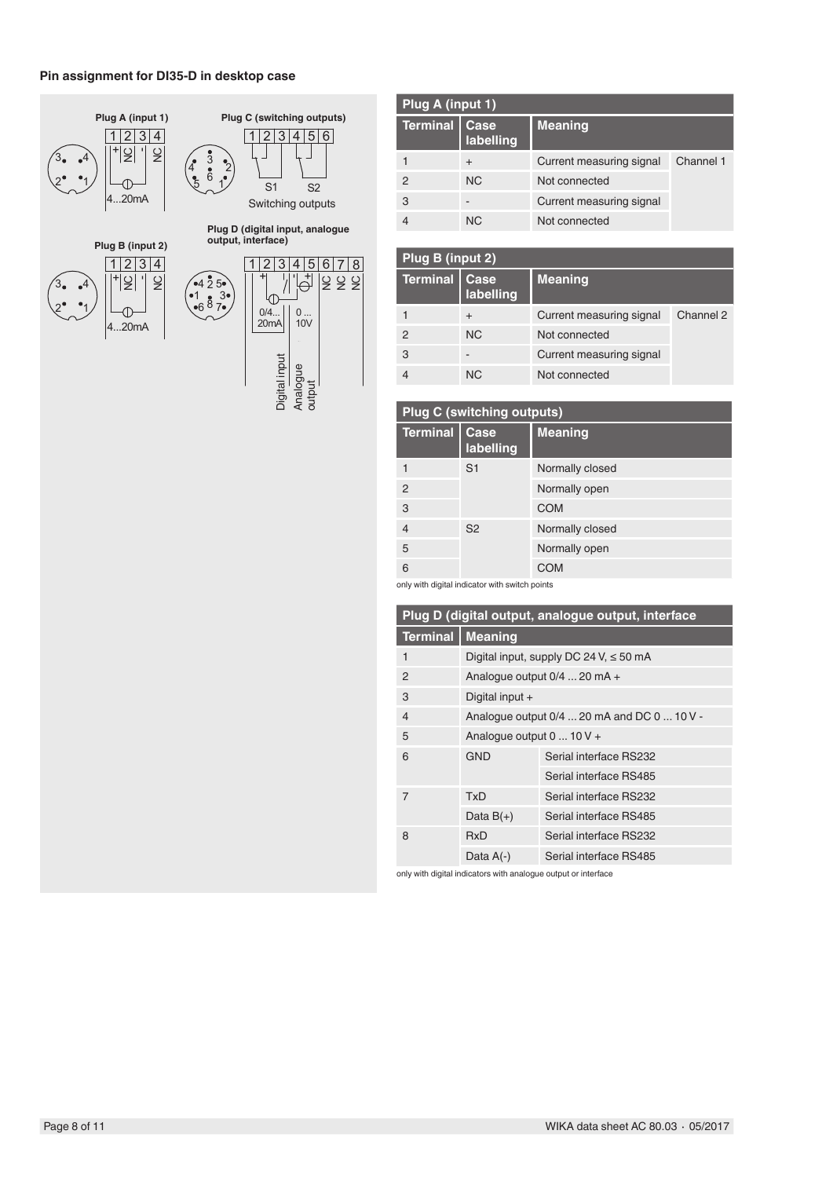### **Pin assignment for DI35-D in desktop case**



| Plug A (input 1) |                   |                          |           |
|------------------|-------------------|--------------------------|-----------|
| <b>Terminal</b>  | Case<br>labelling | <b>Meaning</b>           |           |
|                  | $\div$            | Current measuring signal | Channel 1 |
| 2                | <b>NC</b>         | Not connected            |           |
| 3                |                   | Current measuring signal |           |
|                  | <b>NC</b>         | Not connected            |           |

| Plug B (input 2) |                   |                          |           |
|------------------|-------------------|--------------------------|-----------|
| <b>Terminal</b>  | Case<br>labelling | <b>Meaning</b>           |           |
|                  | $\ddot{}$         | Current measuring signal | Channel 2 |
| $\mathcal{P}$    | <b>NC</b>         | Not connected            |           |
| 3                |                   | Current measuring signal |           |
|                  | <b>NC</b>         | Not connected            |           |

|                 | <b>Plug C (switching outputs)</b>              |                 |
|-----------------|------------------------------------------------|-----------------|
| <b>Terminal</b> | Case<br>labelling                              | <b>Meaning</b>  |
|                 | S <sub>1</sub>                                 | Normally closed |
| $\overline{2}$  |                                                | Normally open   |
| 3               |                                                | <b>COM</b>      |
| $\overline{4}$  | S <sub>2</sub>                                 | Normally closed |
| 5               |                                                | Normally open   |
| 6               |                                                | <b>COM</b>      |
|                 | only with digital indicator with switch points |                 |

| <b>Terminal</b><br><b>Meaning</b><br>Digital input, supply DC 24 V, $\leq 50$ mA<br>1<br>2<br>Analogue output $0/4$ 20 mA +<br>3<br>Digital input $+$<br>Analogue output 0/4  20 mA and DC 0  10 V -<br>4<br>5<br>Analogue output $0 \dots 10 V +$ |
|----------------------------------------------------------------------------------------------------------------------------------------------------------------------------------------------------------------------------------------------------|
|                                                                                                                                                                                                                                                    |
|                                                                                                                                                                                                                                                    |
|                                                                                                                                                                                                                                                    |
|                                                                                                                                                                                                                                                    |
|                                                                                                                                                                                                                                                    |
|                                                                                                                                                                                                                                                    |
| Serial interface RS232<br><b>GND</b><br>6                                                                                                                                                                                                          |
| Serial interface RS485                                                                                                                                                                                                                             |
| $\overline{7}$<br>Serial interface RS232<br>TxD                                                                                                                                                                                                    |
| Serial interface RS485<br>Data $B(+)$                                                                                                                                                                                                              |
| 8<br>Serial interface RS232<br><b>RxD</b>                                                                                                                                                                                                          |
| Serial interface RS485<br>Data $A(-)$                                                                                                                                                                                                              |

only with digital indicators with analogue output or interface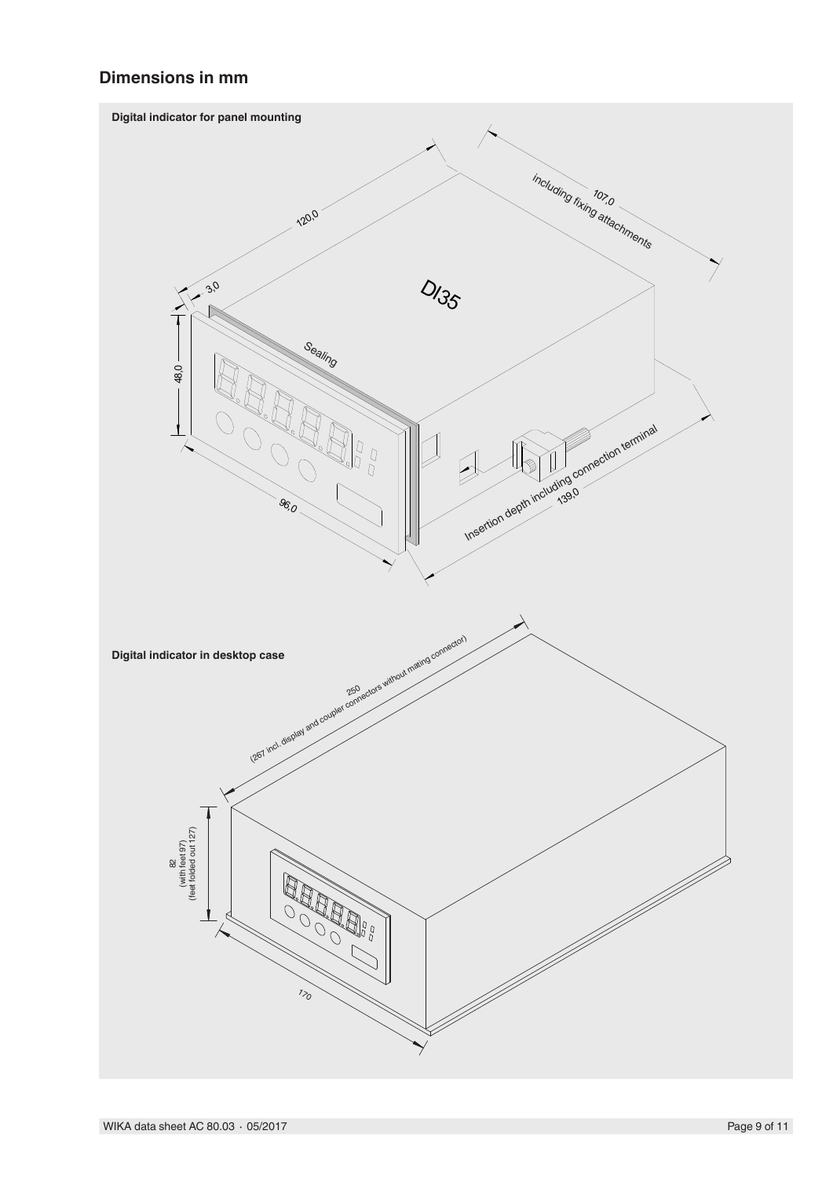### **Dimensions in mm**

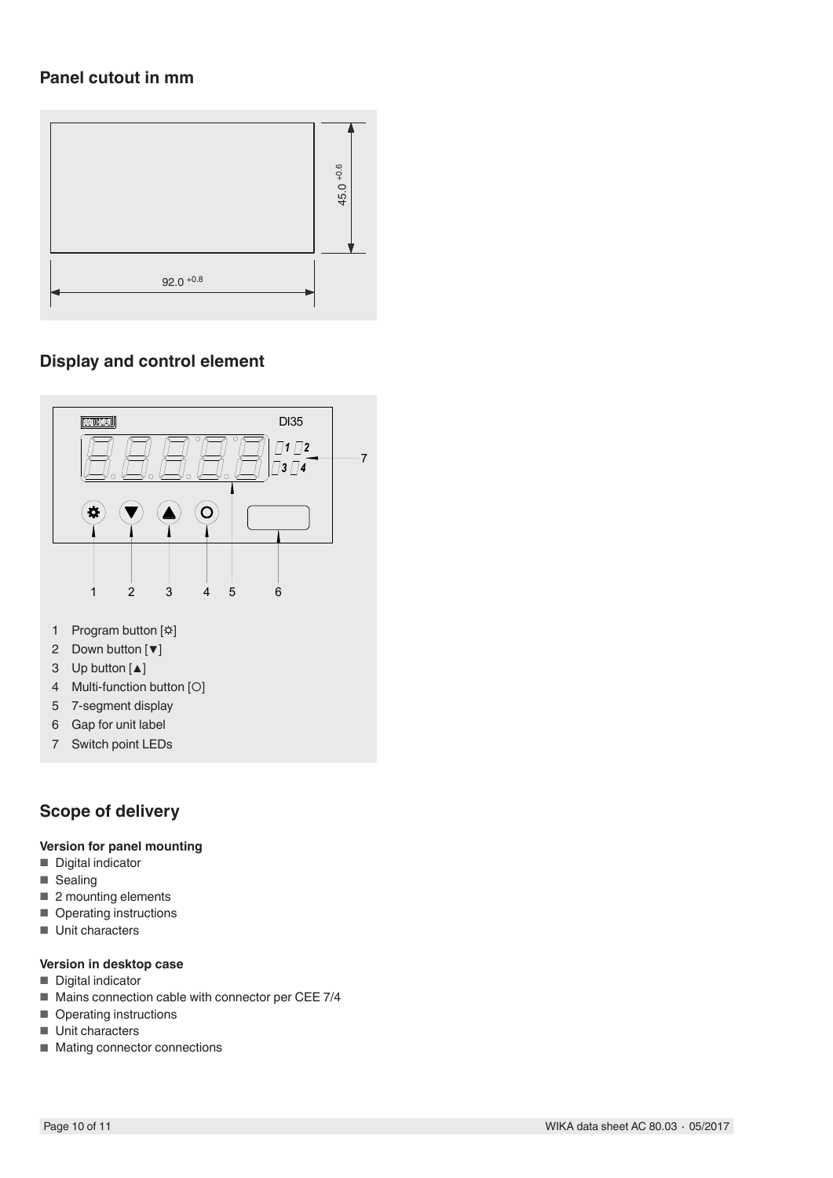### **Panel cutout in mm**



### **Display and control element**



- 6 Gap for unit label
- 7 Switch point LEDs

### **Scope of delivery**

#### **Version for panel mounting**

- Digital indicator
- Sealing<br>■ 2 mount
- 2 mounting elements
- Operating instructions
- Unit characters

#### **Version in desktop case**

- Digital indicator
- Mains connection cable with connector per CEE 7/4
- Operating instructions
- Unit characters
- Mating connector connections